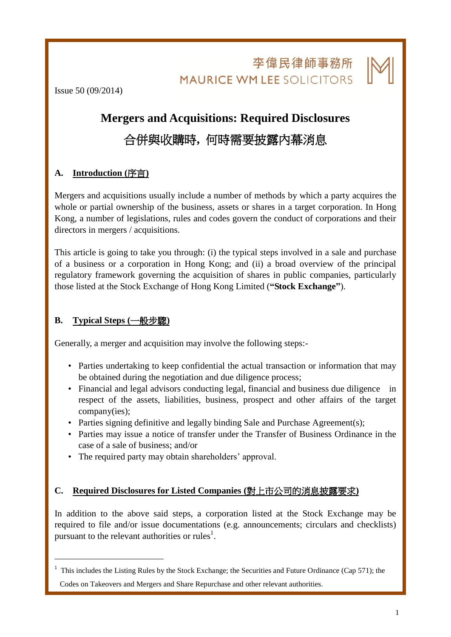李偉民律師事務所 **MAURICE WM LEE SOLICITORS** 

L

Issue 50 (09/2014)

# **Mergers and Acquisitions: Required Disclosures** 合併與收購時**,** 何時需要披露內幕消息

## **A. Introduction (**序言**)**

Mergers and acquisitions usually include a number of methods by which a party acquires the whole or partial ownership of the business, assets or shares in a target corporation. In Hong Kong, a number of legislations, rules and codes govern the conduct of corporations and their directors in mergers / acquisitions.

This article is going to take you through: (i) the typical steps involved in a sale and purchase of a business or a corporation in Hong Kong; and (ii) a broad overview of the principal regulatory framework governing the acquisition of shares in public companies, particularly those listed at the Stock Exchange of Hong Kong Limited (**"Stock Exchange"**).

## **B. Typical Steps (**一般步驟**)**

1

Generally, a merger and acquisition may involve the following steps:-

- Parties undertaking to keep confidential the actual transaction or information that may be obtained during the negotiation and due diligence process;
- Financial and legal advisors conducting legal, financial and business due diligence in respect of the assets, liabilities, business, prospect and other affairs of the target company(ies);
- Parties signing definitive and legally binding Sale and Purchase Agreement(s);
- Parties may issue a notice of transfer under the Transfer of Business Ordinance in the case of a sale of business; and/or
- The required party may obtain shareholders' approval.

## **C. Required Disclosures for Listed Companies (**對上市公司的消息披露要求**)**

In addition to the above said steps, a corporation listed at the Stock Exchange may be required to file and/or issue documentations (e.g. announcements; circulars and checklists) pursuant to the relevant authorities or rules<sup>1</sup>.

<sup>&</sup>lt;sup>1</sup> This includes the Listing Rules by the Stock Exchange; the Securities and Future Ordinance (Cap 571); the

Codes on Takeovers and Mergers and Share Repurchase and other relevant authorities.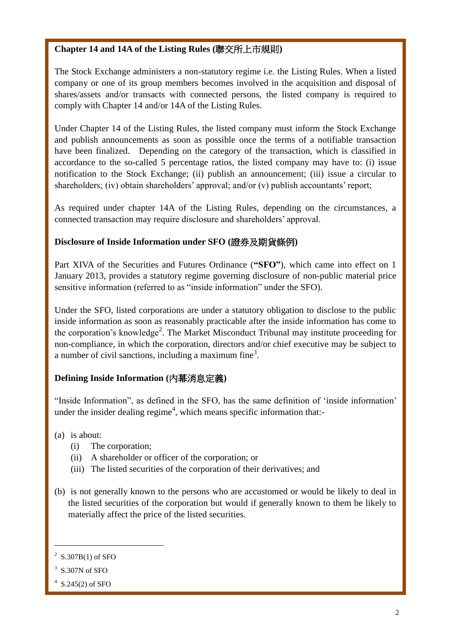## **Chapter 14 and 14A of the Listing Rules (**聯交所上市規則**)**

The Stock Exchange administers a non-statutory regime i.e. the Listing Rules. When a listed company or one of its group members becomes involved in the acquisition and disposal of shares/assets and/or transacts with connected persons, the listed company is required to comply with Chapter 14 and/or 14A of the Listing Rules.

Under Chapter 14 of the Listing Rules, the listed company must inform the Stock Exchange and publish announcements as soon as possible once the terms of a notifiable transaction have been finalized. Depending on the category of the transaction, which is classified in accordance to the so-called 5 percentage ratios, the listed company may have to: (i) issue notification to the Stock Exchange; (ii) publish an announcement; (iii) issue a circular to shareholders; (iv) obtain shareholders' approval; and/or (v) publish accountants' report;

As required under chapter 14A of the Listing Rules, depending on the circumstances, a connected transaction may require disclosure and shareholders' approval.

## **Disclosure of Inside Information under SFO (**證券及期貨條例**)**

Part XIVA of the Securities and Futures Ordinance (**"SFO"**), which came into effect on 1 January 2013, provides a statutory regime governing disclosure of non-public material price sensitive information (referred to as "inside information" under the SFO).

Under the SFO, listed corporations are under a statutory obligation to disclose to the public inside information as soon as reasonably practicable after the inside information has come to the corporation's knowledge<sup>2</sup>. The Market Misconduct Tribunal may institute proceeding for non-compliance, in which the corporation, directors and/or chief executive may be subject to a number of civil sanctions, including a maximum fine<sup>3</sup>.

# **Defining Inside Information (**內幕消息定義**)**

"Inside Information", as defined in the SFO, has the same definition of 'inside information' under the insider dealing regime<sup>4</sup>, which means specific information that:-

- (a) is about:
	- (i) The corporation;
	- (ii) A shareholder or officer of the corporation; or
	- (iii) The listed securities of the corporation of their derivatives; and
- (b) is not generally known to the persons who are accustomed or would be likely to deal in the listed securities of the corporation but would if generally known to them be likely to materially affect the price of the listed securities.

3 S.307N of SFO

1

L

 $2^2$  S.307B(1) of SFO

 $4$  S.245(2) of SFO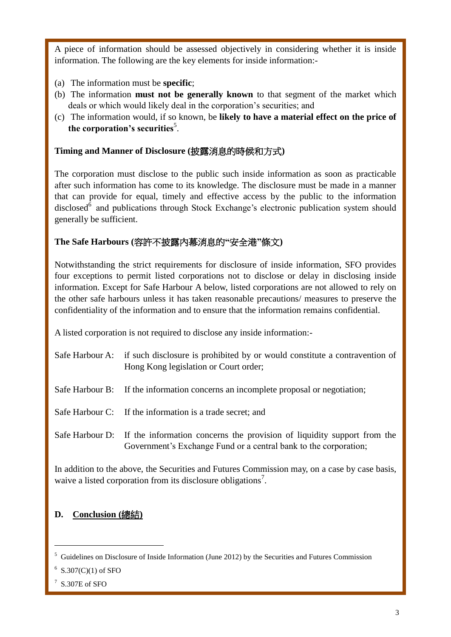A piece of information should be assessed objectively in considering whether it is inside information. The following are the key elements for inside information:-

- (a) The information must be **specific**;
- (b) The information **must not be generally known** to that segment of the market which deals or which would likely deal in the corporation's securities; and
- (c) The information would, if so known, be **likely to have a material effect on the price of**  the corporation's securities<sup>5</sup>.

## **Timing and Manner of Disclosure (**披露消息的時候和方式**)**

The corporation must disclose to the public such inside information as soon as practicable after such information has come to its knowledge. The disclosure must be made in a manner that can provide for equal, timely and effective access by the public to the information disclosed<sup>6</sup> and publications through Stock Exchange's electronic publication system should generally be sufficient.

# **The Safe Harbours (**容許不披露內幕消息的**"**安全港**"**條文**)**

Notwithstanding the strict requirements for disclosure of inside information, SFO provides four exceptions to permit listed corporations not to disclose or delay in disclosing inside information. Except for Safe Harbour A below, listed corporations are not allowed to rely on the other safe harbours unless it has taken reasonable precautions/ measures to preserve the confidentiality of the information and to ensure that the information remains confidential.

A listed corporation is not required to disclose any inside information:-

- Safe Harbour A: if such disclosure is prohibited by or would constitute a contravention of Hong Kong legislation or Court order;
- Safe Harbour B: If the information concerns an incomplete proposal or negotiation;
- Safe Harbour C: If the information is a trade secret; and
- Safe Harbour D: If the information concerns the provision of liquidity support from the Government's Exchange Fund or a central bank to the corporation;

In addition to the above, the Securities and Futures Commission may, on a case by case basis, waive a listed corporation from its disclosure obligations<sup>7</sup>.

# **D. Conclusion (**總結**)**

1

L

<sup>5</sup> Guidelines on Disclosure of Inside Information (June 2012) by the Securities and Futures Commission

 $6$  S.307(C)(1) of SFO

 $7$  S.307E of SFO